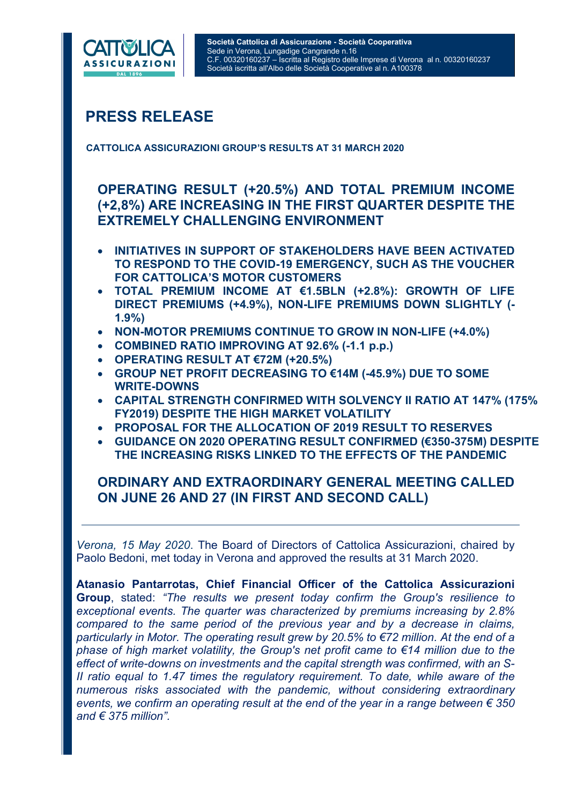

# PRESS RELEASE

CATTOLICA ASSICURAZIONI GROUP'S RESULTS AT 31 MARCH 2020

# OPERATING RESULT (+20.5%) AND TOTAL PREMIUM INCOME (+2,8%) ARE INCREASING IN THE FIRST QUARTER DESPITE THE EXTREMELY CHALLENGING ENVIRONMENT

- INITIATIVES IN SUPPORT OF STAKEHOLDERS HAVE BEEN ACTIVATED TO RESPOND TO THE COVID-19 EMERGENCY, SUCH AS THE VOUCHER FOR CATTOLICA'S MOTOR CUSTOMERS
- $\bullet$  TOTAL PREMIUM INCOME AT  $\epsilon$ 1.5BLN (+2.8%): GROWTH OF LIFE DIRECT PREMIUMS (+4.9%), NON-LIFE PREMIUMS DOWN SLIGHTLY (- 1.9%)
- NON-MOTOR PREMIUMS CONTINUE TO GROW IN NON-LIFE (+4.0%)
- COMBINED RATIO IMPROVING AT 92.6% (-1.1 p.p.)
- OPERATING RESULT AT €72M (+20.5%)
- GROUP NET PROFIT DECREASING TO €14M (-45.9%) DUE TO SOME WRITE-DOWNS
- CAPITAL STRENGTH CONFIRMED WITH SOLVENCY II RATIO AT 147% (175% FY2019) DESPITE THE HIGH MARKET VOLATILITY
- PROPOSAL FOR THE ALLOCATION OF 2019 RESULT TO RESERVES
- GUIDANCE ON 2020 OPERATING RESULT CONFIRMED (€350-375M) DESPITE THE INCREASING RISKS LINKED TO THE EFFECTS OF THE PANDEMIC

# ORDINARY AND EXTRAORDINARY GENERAL MEETING CALLED ON JUNE 26 AND 27 (IN FIRST AND SECOND CALL)

Verona, 15 May 2020. The Board of Directors of Cattolica Assicurazioni, chaired by Paolo Bedoni, met today in Verona and approved the results at 31 March 2020.

Atanasio Pantarrotas, Chief Financial Officer of the Cattolica Assicurazioni Group, stated: "The results we present today confirm the Group's resilience to exceptional events. The quarter was characterized by premiums increasing by 2.8% compared to the same period of the previous year and by a decrease in claims, particularly in Motor. The operating result grew by 20.5% to €72 million. At the end of a phase of high market volatility, the Group's net profit came to €14 million due to the effect of write-downs on investments and the capital strength was confirmed, with an S-II ratio equal to 1.47 times the regulatory requirement. To date, while aware of the numerous risks associated with the pandemic, without considering extraordinary events, we confirm an operating result at the end of the year in a range between  $\epsilon$  350 and  $\epsilon$  375 million".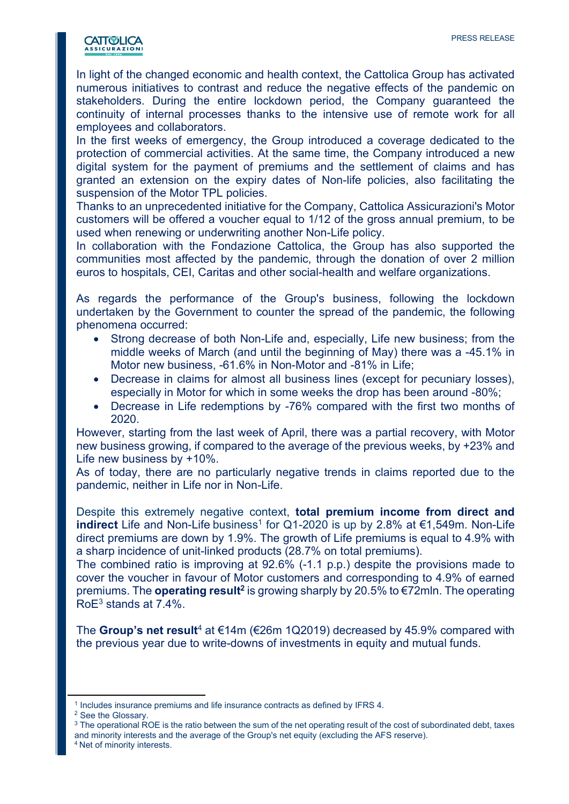

In light of the changed economic and health context, the Cattolica Group has activated numerous initiatives to contrast and reduce the negative effects of the pandemic on stakeholders. During the entire lockdown period, the Company guaranteed the continuity of internal processes thanks to the intensive use of remote work for all employees and collaborators.

In the first weeks of emergency, the Group introduced a coverage dedicated to the protection of commercial activities. At the same time, the Company introduced a new digital system for the payment of premiums and the settlement of claims and has granted an extension on the expiry dates of Non-life policies, also facilitating the suspension of the Motor TPL policies.

Thanks to an unprecedented initiative for the Company, Cattolica Assicurazioni's Motor customers will be offered a voucher equal to 1/12 of the gross annual premium, to be used when renewing or underwriting another Non-Life policy.

In collaboration with the Fondazione Cattolica, the Group has also supported the communities most affected by the pandemic, through the donation of over 2 million euros to hospitals, CEI, Caritas and other social-health and welfare organizations.

As regards the performance of the Group's business, following the lockdown undertaken by the Government to counter the spread of the pandemic, the following phenomena occurred:

- Strong decrease of both Non-Life and, especially, Life new business; from the middle weeks of March (and until the beginning of May) there was a -45.1% in Motor new business, -61.6% in Non-Motor and -81% in Life;
- Decrease in claims for almost all business lines (except for pecuniary losses), especially in Motor for which in some weeks the drop has been around -80%;
- Decrease in Life redemptions by -76% compared with the first two months of 2020.

However, starting from the last week of April, there was a partial recovery, with Motor new business growing, if compared to the average of the previous weeks, by +23% and Life new business by +10%.

As of today, there are no particularly negative trends in claims reported due to the pandemic, neither in Life nor in Non-Life.

Despite this extremely negative context, total premium income from direct and indirect Life and Non-Life business<sup>1</sup> for Q1-2020 is up by 2.8% at €1,549m. Non-Life direct premiums are down by 1.9%. The growth of Life premiums is equal to 4.9% with a sharp incidence of unit-linked products (28.7% on total premiums).

The combined ratio is improving at 92.6% (-1.1 p.p.) despite the provisions made to cover the voucher in favour of Motor customers and corresponding to 4.9% of earned premiums. The **operating result<sup>2</sup> is growing sharply by 20.5% to €72mln. The operating** RoE<sup>3</sup> stands at 7.4%.

The Group's net result<sup>4</sup> at  $\epsilon$ 14m ( $\epsilon$ 26m 1Q2019) decreased by 45.9% compared with the previous year due to write-downs of investments in equity and mutual funds.

<sup>4</sup> Net of minority interests.

<sup>&</sup>lt;sup>1</sup> Includes insurance premiums and life insurance contracts as defined by IFRS 4.

<sup>2</sup> See the Glossary.

<sup>&</sup>lt;sup>3</sup> The operational ROE is the ratio between the sum of the net operating result of the cost of subordinated debt, taxes and minority interests and the average of the Group's net equity (excluding the AFS reserve).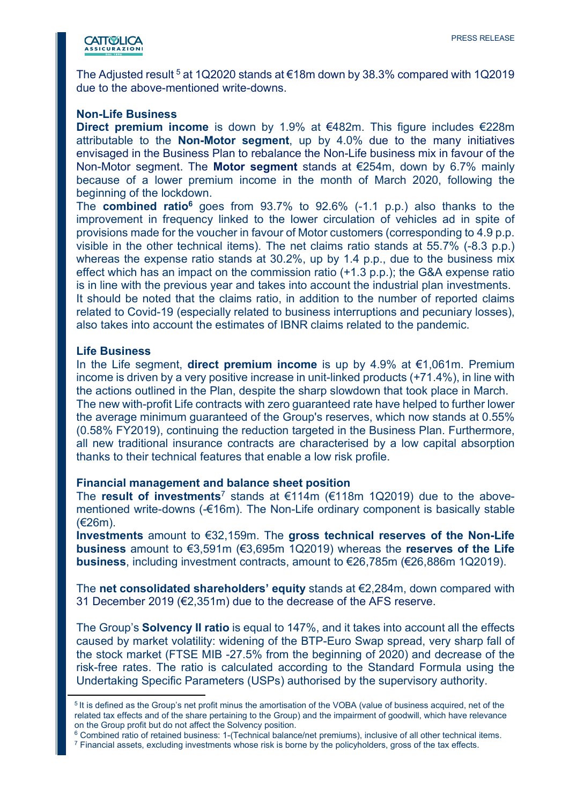

The Adjusted result  $5$  at 1Q2020 stands at  $\epsilon$ 18m down by 38.3% compared with 1Q2019 due to the above-mentioned write-downs.

#### Non-Life Business

Direct premium income is down by 1.9% at €482m. This figure includes €228m attributable to the Non-Motor segment, up by 4.0% due to the many initiatives envisaged in the Business Plan to rebalance the Non-Life business mix in favour of the Non-Motor segment. The **Motor segment** stands at  $\epsilon$ 254m, down by 6.7% mainly because of a lower premium income in the month of March 2020, following the beginning of the lockdown.

The **combined ratio<sup>6</sup>** goes from  $93.7\%$  to  $92.6\%$  (-1.1 p.p.) also thanks to the improvement in frequency linked to the lower circulation of vehicles ad in spite of provisions made for the voucher in favour of Motor customers (corresponding to 4.9 p.p. visible in the other technical items). The net claims ratio stands at 55.7% (-8.3 p.p.) whereas the expense ratio stands at 30.2%, up by 1.4 p.p., due to the business mix effect which has an impact on the commission ratio (+1.3 p.p.); the G&A expense ratio is in line with the previous year and takes into account the industrial plan investments. It should be noted that the claims ratio, in addition to the number of reported claims related to Covid-19 (especially related to business interruptions and pecuniary losses), also takes into account the estimates of IBNR claims related to the pandemic.

#### Life Business

In the Life segment, **direct premium income** is up by 4.9% at  $\epsilon$ 1,061m. Premium income is driven by a very positive increase in unit-linked products (+71.4%), in line with the actions outlined in the Plan, despite the sharp slowdown that took place in March. The new with-profit Life contracts with zero guaranteed rate have helped to further lower the average minimum guaranteed of the Group's reserves, which now stands at 0.55% (0.58% FY2019), continuing the reduction targeted in the Business Plan. Furthermore, all new traditional insurance contracts are characterised by a low capital absorption thanks to their technical features that enable a low risk profile.

#### Financial management and balance sheet position

The result of investments<sup>7</sup> stands at  $\epsilon$ 114m ( $\epsilon$ 118m 1Q2019) due to the abovementioned write-downs (-€16m). The Non-Life ordinary component is basically stable (€26m).

Investments amount to €32,159m. The gross technical reserves of the Non-Life **business** amount to €3,591m (€3,695m 1Q2019) whereas the **reserves of the Life** business, including investment contracts, amount to €26,785m (€26,886m 1Q2019).

The net consolidated shareholders' equity stands at €2,284m, down compared with 31 December 2019 (€2,351m) due to the decrease of the AFS reserve.

The Group's **Solvency II ratio** is equal to 147%, and it takes into account all the effects caused by market volatility: widening of the BTP-Euro Swap spread, very sharp fall of the stock market (FTSE MIB -27.5% from the beginning of 2020) and decrease of the risk-free rates. The ratio is calculated according to the Standard Formula using the Undertaking Specific Parameters (USPs) authorised by the supervisory authority.

<sup>&</sup>lt;sup>5</sup> It is defined as the Group's net profit minus the amortisation of the VOBA (value of business acquired, net of the related tax effects and of the share pertaining to the Group) and the impairment of goodwill, which have relevance on the Group profit but do not affect the Solvency position.

<sup>6</sup> Combined ratio of retained business: 1-(Technical balance/net premiums), inclusive of all other technical items.

 $^7$  Financial assets, excluding investments whose risk is borne by the policyholders, gross of the tax effects.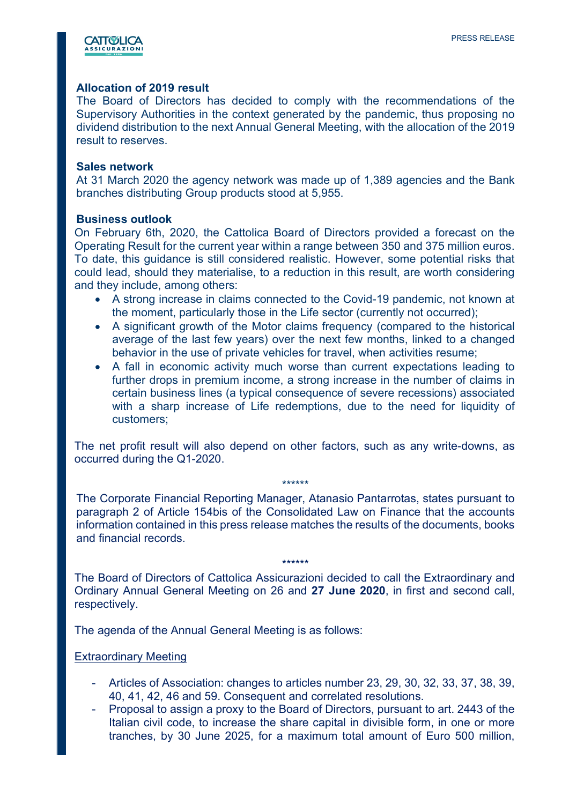

### Allocation of 2019 result

The Board of Directors has decided to comply with the recommendations of the Supervisory Authorities in the context generated by the pandemic, thus proposing no dividend distribution to the next Annual General Meeting, with the allocation of the 2019 result to reserves.

#### Sales network

At 31 March 2020 the agency network was made up of 1,389 agencies and the Bank branches distributing Group products stood at 5,955.

#### Business outlook

On February 6th, 2020, the Cattolica Board of Directors provided a forecast on the Operating Result for the current year within a range between 350 and 375 million euros. To date, this guidance is still considered realistic. However, some potential risks that could lead, should they materialise, to a reduction in this result, are worth considering and they include, among others:

- A strong increase in claims connected to the Covid-19 pandemic, not known at the moment, particularly those in the Life sector (currently not occurred);
- A significant growth of the Motor claims frequency (compared to the historical average of the last few years) over the next few months, linked to a changed behavior in the use of private vehicles for travel, when activities resume;
- A fall in economic activity much worse than current expectations leading to further drops in premium income, a strong increase in the number of claims in certain business lines (a typical consequence of severe recessions) associated with a sharp increase of Life redemptions, due to the need for liquidity of customers;

The net profit result will also depend on other factors, such as any write-downs, as occurred during the Q1-2020.

\*\*\*\*\*\*

The Corporate Financial Reporting Manager, Atanasio Pantarrotas, states pursuant to paragraph 2 of Article 154bis of the Consolidated Law on Finance that the accounts information contained in this press release matches the results of the documents, books and financial records.

The Board of Directors of Cattolica Assicurazioni decided to call the Extraordinary and Ordinary Annual General Meeting on 26 and 27 June 2020, in first and second call, respectively.

\*\*\*\*\*\*

The agenda of the Annual General Meeting is as follows:

#### Extraordinary Meeting

- Articles of Association: changes to articles number 23, 29, 30, 32, 33, 37, 38, 39, 40, 41, 42, 46 and 59. Consequent and correlated resolutions.
- Proposal to assign a proxy to the Board of Directors, pursuant to art. 2443 of the Italian civil code, to increase the share capital in divisible form, in one or more tranches, by 30 June 2025, for a maximum total amount of Euro 500 million,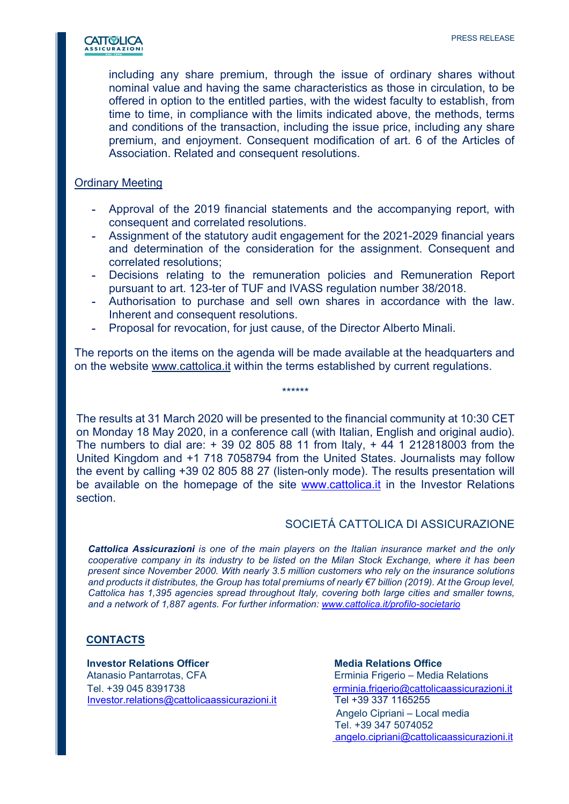

including any share premium, through the issue of ordinary shares without nominal value and having the same characteristics as those in circulation, to be offered in option to the entitled parties, with the widest faculty to establish, from time to time, in compliance with the limits indicated above, the methods, terms and conditions of the transaction, including the issue price, including any share premium, and enjoyment. Consequent modification of art. 6 of the Articles of Association. Related and consequent resolutions.

#### Ordinary Meeting

- Approval of the 2019 financial statements and the accompanying report, with consequent and correlated resolutions.
- Assignment of the statutory audit engagement for the 2021-2029 financial years and determination of the consideration for the assignment. Consequent and correlated resolutions;
- Decisions relating to the remuneration policies and Remuneration Report pursuant to art. 123-ter of TUF and IVASS regulation number 38/2018.
- Authorisation to purchase and sell own shares in accordance with the law. Inherent and consequent resolutions.
- Proposal for revocation, for just cause, of the Director Alberto Minali.

The reports on the items on the agenda will be made available at the headquarters and on the website www.cattolica.it within the terms established by current regulations.

\*\*\*\*\*\*

The results at 31 March 2020 will be presented to the financial community at 10:30 CET on Monday 18 May 2020, in a conference call (with Italian, English and original audio). The numbers to dial are: + 39 02 805 88 11 from Italy, + 44 1 212818003 from the United Kingdom and +1 718 7058794 from the United States. Journalists may follow the event by calling +39 02 805 88 27 (listen-only mode). The results presentation will be available on the homepage of the site www.cattolica.it in the Investor Relations section.

# SOCIETÁ CATTOLICA DI ASSICURAZIONE

Cattolica Assicurazioni is one of the main players on the Italian insurance market and the only cooperative company in its industry to be listed on the Milan Stock Exchange, where it has been present since November 2000. With nearly 3.5 million customers who rely on the insurance solutions and products it distributes, the Group has total premiums of nearly €7 billion (2019). At the Group level, Cattolica has 1,395 agencies spread throughout Italy, covering both large cities and smaller towns, and a network of 1,887 agents. For further information: www.cattolica.it/profilo-societario

### **CONTACTS**

**Investor Relations Officer Media Relations Office**  Atanasio Pantarrotas, CFA Erminia Frigerio – Media Relations Tel. +39 045 8391738 erminia.frigerio@cattolicaassicurazioni.it Investor.relations@cattolicaassicurazioni.it Tel +39 337 1165255

 Angelo Cipriani – Local media Tel. +39 347 5074052 angelo.cipriani@cattolicaassicurazioni.it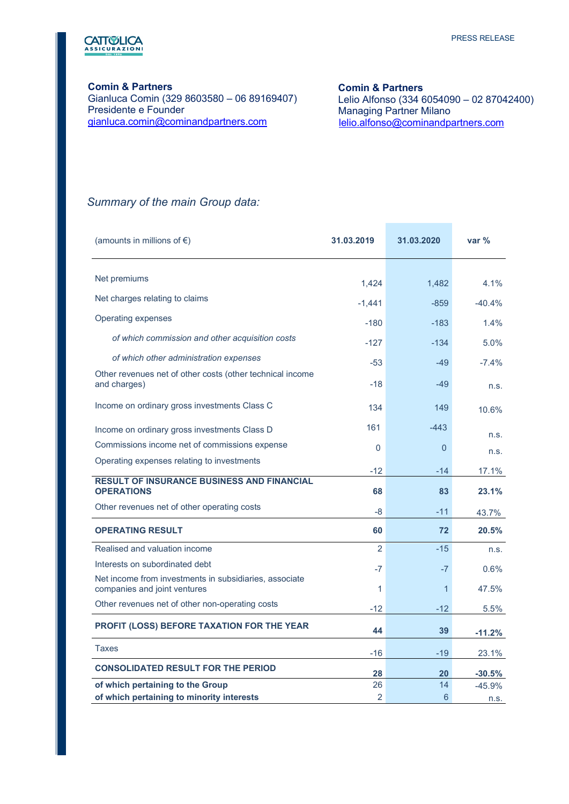

#### Comin & Partners

Gianluca Comin (329 8603580 – 06 89169407) Presidente e Founder gianluca.comin@cominandpartners.com

#### Comin & Partners

 Lelio Alfonso (334 6054090 – 02 87042400) Managing Partner Milano lelio.alfonso@cominandpartners.com

**Contract Contract** 

# Summary of the main Group data:

| (amounts in millions of $\epsilon$ )                                                   | 31.03.2019        | 31.03.2020      | var $%$   |
|----------------------------------------------------------------------------------------|-------------------|-----------------|-----------|
| Net premiums                                                                           |                   |                 | $4.1\%$   |
| Net charges relating to claims                                                         | 1.424<br>$-1,441$ | 1,482<br>$-859$ | $-40.4%$  |
| <b>Operating expenses</b>                                                              | $-180$            | $-183$          | 1.4%      |
| of which commission and other acquisition costs                                        | $-127$            | $-134$          | 5.0%      |
| of which other administration expenses                                                 | $-53$             | $-49$           | $-7.4%$   |
| Other revenues net of other costs (other technical income<br>and charges)              | $-18$             | $-49$           | n.s.      |
| Income on ordinary gross investments Class C                                           | 134               | 149             | 10.6%     |
| Income on ordinary gross investments Class D                                           | 161               | $-443$          | n.s.      |
| Commissions income net of commissions expense                                          | 0                 | $\overline{0}$  | n.s.      |
| Operating expenses relating to investments                                             | $-12$             | -14             | 17.1%     |
| <b>RESULT OF INSURANCE BUSINESS AND FINANCIAL</b><br><b>OPERATIONS</b>                 | 68                | 83              | 23.1%     |
| Other revenues net of other operating costs                                            | -8                | $-11$           | 43.7%     |
| <b>OPERATING RESULT</b>                                                                | 60                | 72              | 20.5%     |
| Realised and valuation income                                                          | $\overline{2}$    | $-15$           | n.s.      |
| Interests on subordinated debt                                                         | $-7$              | $-7$            | 0.6%      |
| Net income from investments in subsidiaries, associate<br>companies and joint ventures | 1                 | $\overline{1}$  | 47.5%     |
| Other revenues net of other non-operating costs                                        | $-12$             | $-12$           | 5.5%      |
| PROFIT (LOSS) BEFORE TAXATION FOR THE YEAR                                             | 44                | 39              | $-11.2%$  |
| <b>Taxes</b>                                                                           | $-16$             | $-19$           | 23.1%     |
| <b>CONSOLIDATED RESULT FOR THE PERIOD</b>                                              | 28                | 20              | $-30.5\%$ |
| of which pertaining to the Group                                                       | 26                | 14              | $-45.9%$  |
| of which pertaining to minority interests                                              | $\overline{2}$    | 6               | n.s.      |